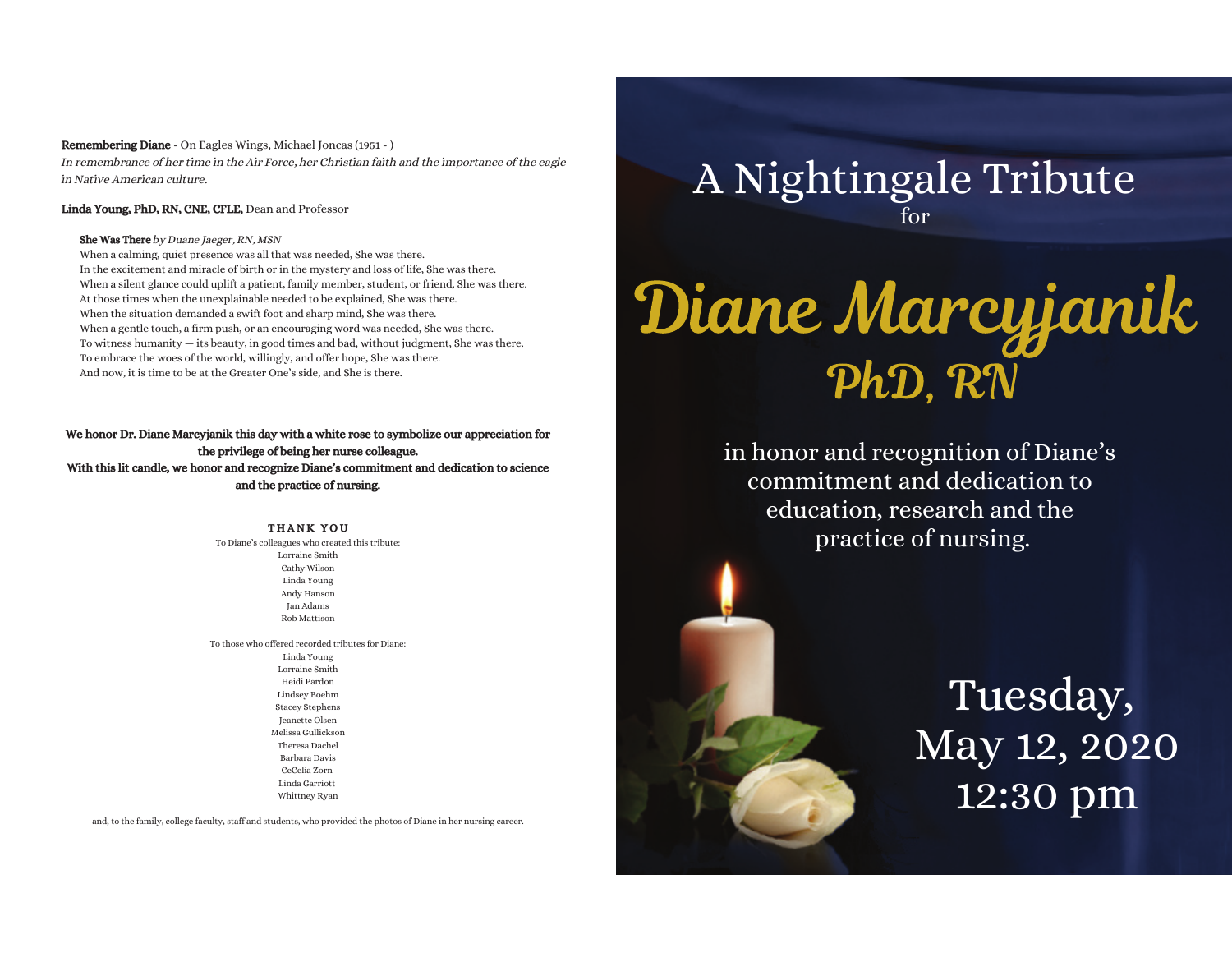#### Remembering Diane - On Eagles Wings, Michael Joncas (1951 - )In remembrance of her time in the Air Force, her Christian faith and the importance of the eaglein Native American culture.

#### Linda Young, PhD, RN, CNE, CFLE, Dean and Professor

#### **She Was There** by Duane Jaeger, RN, MSN

 When a calming, quiet presence was all that was needed, She was there.In the excitement and miracle of birth or in the mystery and loss of life, She was there.When a silent glance could uplift a patient, family member, student, or friend, She was there.At those times when the unexplainable needed to be explained, She was there.When the situation demanded a swift foot and sharp mind, She was there.When a gentle touch, a firm push, or an encouraging word was needed, She was there. To witness humanity — its beauty, in good times and bad, without judgment, She was there.To embrace the woes of the world, willingly, and offer hope, She was there.And now, it is time to be at the Greater One's side, and She is there.

#### We honor Dr. Diane Marcyjanik this day with a white rose to symbolize our appreciation forthe privilege of being her nurse colleague. With this lit candle, we honor and recognize Diane's commitment and dedication to science

and the practice of nursing.

#### THANK YOU

To Diane's colleagues who created this tribute: Lorraine Smith Cathy Wilson Linda Young Andy Hanson Jan AdamsRob Mattison

To those who offered recorded tributes for Diane:Linda Young Lorraine Smith Heidi Pardon Lindsey Boehm Stacey Stephens Jeanette Olsen Melissa GullicksonTheresa DachelBarbara Davis CeCelia Zorn Linda Garriott Whittney Ryan

and, to the family, college faculty, staff and students, who provided the photos of Diane in her nursing career.

### A Nightingale Tributefor

# Diane Marcyjanik PhD. RN

in honor and recognition of Diane's commitment and dedication to education, research and the practice of nursing.

## Tuesday, May 12, 202012:30 pm